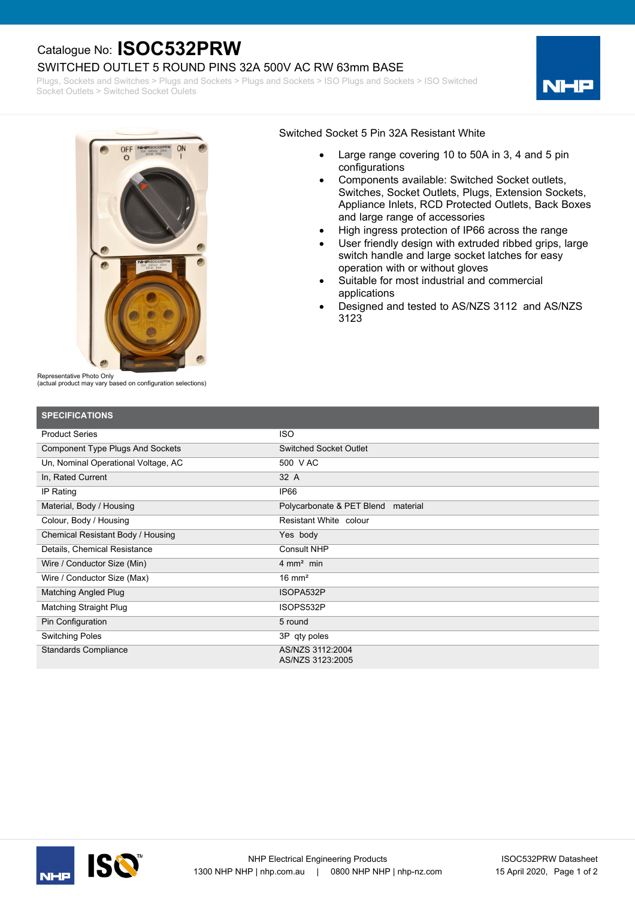# Catalogue No: **ISOC532PRW**

### SWITCHED OUTLET 5 ROUND PINS 32A 500V AC RW 63mm BASE

Plugs, Sockets and Switches > Plugs and Sockets > Plugs and Sockets > ISO Plugs and Sockets > ISO Switched Socket Outlets > Switched Socket Oulets





#### Switched Socket 5 Pin 32A Resistant White

- · Large range covering 10 to 50A in 3, 4 and 5 pin configurations
- · Components available: Switched Socket outlets, Switches, Socket Outlets, Plugs, Extension Sockets, Appliance Inlets, RCD Protected Outlets, Back Boxes and large range of accessories
- High ingress protection of IP66 across the range
- User friendly design with extruded ribbed grips, large switch handle and large socket latches for easy operation with or without gloves
- Suitable for most industrial and commercial applications
- Designed and tested to AS/NZS 3112 and AS/NZS 3123

Representative Photo Only

(actual product may vary based on configuration selections)

| <b>SPECIFICATIONS</b>                   |                                      |
|-----------------------------------------|--------------------------------------|
| <b>Product Series</b>                   | <b>ISO</b>                           |
| <b>Component Type Plugs And Sockets</b> | Switched Socket Outlet               |
| Un, Nominal Operational Voltage, AC     | 500 V AC                             |
| In, Rated Current                       | 32 A                                 |
| IP Rating                               | IP66                                 |
| Material, Body / Housing                | Polycarbonate & PET Blend material   |
| Colour, Body / Housing                  | Resistant White colour               |
| Chemical Resistant Body / Housing       | Yes body                             |
| Details, Chemical Resistance            | <b>Consult NHP</b>                   |
| Wire / Conductor Size (Min)             | $4 \text{ mm}^2$ min                 |
| Wire / Conductor Size (Max)             | $16 \text{ mm}^2$                    |
| <b>Matching Angled Plug</b>             | ISOPA532P                            |
| <b>Matching Straight Plug</b>           | ISOPS532P                            |
| Pin Configuration                       | 5 round                              |
| <b>Switching Poles</b>                  | 3P qty poles                         |
| <b>Standards Compliance</b>             | AS/NZS 3112:2004<br>AS/NZS 3123:2005 |